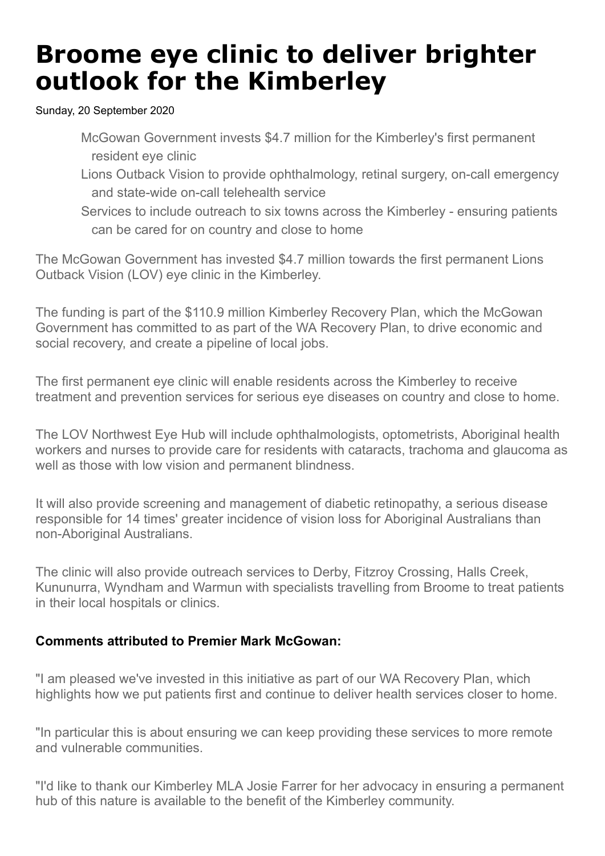## **Broome eye clinic to deliver brighter outlook for the Kimberley**

Sunday, 20 September 2020

- McGowan Government invests \$4.7 million for the Kimberley's first permanent resident eye clinic
- Lions Outback Vision to provide ophthalmology, retinal surgery, on-call emergency and state-wide on-call telehealth service
- Services to include outreach to six towns across the Kimberley ensuring patients can be cared for on country and close to home

The McGowan Government has invested \$4.7 million towards the first permanent Lions Outback Vision (LOV) eye clinic in the Kimberley.

The funding is part of the \$110.9 million Kimberley Recovery Plan, which the McGowan Government has committed to as part of the WA Recovery Plan, to drive economic and social recovery, and create a pipeline of local jobs.

The first permanent eye clinic will enable residents across the Kimberley to receive treatment and prevention services for serious eye diseases on country and close to home.

The LOV Northwest Eye Hub will include ophthalmologists, optometrists, Aboriginal health workers and nurses to provide care for residents with cataracts, trachoma and glaucoma as well as those with low vision and permanent blindness.

It will also provide screening and management of diabetic retinopathy, a serious disease responsible for 14 times' greater incidence of vision loss for Aboriginal Australians than non-Aboriginal Australians.

The clinic will also provide outreach services to Derby, Fitzroy Crossing, Halls Creek, Kununurra, Wyndham and Warmun with specialists travelling from Broome to treat patients in their local hospitals or clinics.

## **Comments attributed to Premier Mark McGowan:**

"I am pleased we've invested in this initiative as part of our WA Recovery Plan, which highlights how we put patients first and continue to deliver health services closer to home.

"In particular this is about ensuring we can keep providing these services to more remote and vulnerable communities.

"I'd like to thank our Kimberley MLA Josie Farrer for her advocacy in ensuring a permanent hub of this nature is available to the benefit of the Kimberley community.